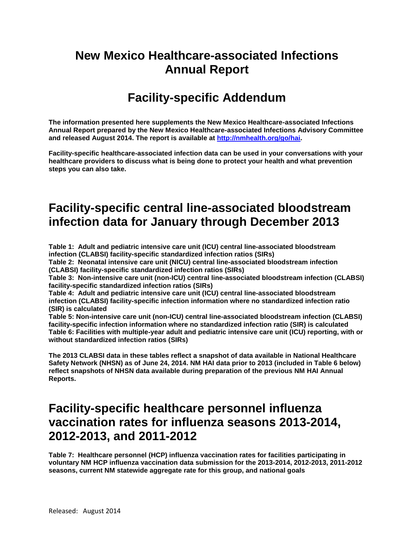# **New Mexico Healthcare-associated Infections Annual Report**

# **Facility-specific Addendum**

**The information presented here supplements the New Mexico Healthcare-associated Infections Annual Report prepared by the New Mexico Healthcare-associated Infections Advisory Committee and released August 2014. The report is available at [http://nmhealth.org/go/hai.](http://nmhealth.org/go/hai)** 

**Facility-specific healthcare-associated infection data can be used in your conversations with your healthcare providers to discuss what is being done to protect your health and what prevention steps you can also take.**

# **Facility-specific central line-associated bloodstream infection data for January through December 2013**

**Table 1: Adult and pediatric intensive care unit (ICU) central line-associated bloodstream infection (CLABSI) facility-specific standardized infection ratios (SIRs)**

**Table 2: Neonatal intensive care unit (NICU) central line-associated bloodstream infection (CLABSI) facility-specific standardized infection ratios (SIRs)**

**Table 3: Non-intensive care unit (non-ICU) central line-associated bloodstream infection (CLABSI) facility-specific standardized infection ratios (SIRs)**

**Table 4: Adult and pediatric intensive care unit (ICU) central line-associated bloodstream infection (CLABSI) facility-specific infection information where no standardized infection ratio (SIR) is calculated**

**Table 5: Non-intensive care unit (non-ICU) central line-associated bloodstream infection (CLABSI) facility-specific infection information where no standardized infection ratio (SIR) is calculated Table 6: Facilities with multiple-year adult and pediatric intensive care unit (ICU) reporting, with or without standardized infection ratios (SIRs)**

**The 2013 CLABSI data in these tables reflect a snapshot of data available in National Healthcare Safety Network (NHSN) as of June 24, 2014. NM HAI data prior to 2013 (included in Table 6 below) reflect snapshots of NHSN data available during preparation of the previous NM HAI Annual Reports.**

# **Facility-specific healthcare personnel influenza vaccination rates for influenza seasons 2013-2014, 2012-2013, and 2011-2012**

**Table 7: Healthcare personnel (HCP) influenza vaccination rates for facilities participating in voluntary NM HCP influenza vaccination data submission for the 2013-2014, 2012-2013, 2011-2012 seasons, current NM statewide aggregate rate for this group, and national goals**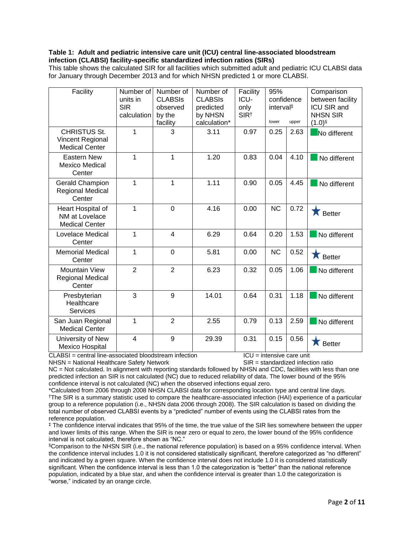#### **Table 1: Adult and pediatric intensive care unit (ICU) central line-associated bloodstream infection (CLABSI) facility-specific standardized infection ratios (SIRs)**

This table shows the calculated SIR for all facilities which submitted adult and pediatric ICU CLABSI data for January through December 2013 and for which NHSN predicted 1 or more CLABSI.

| Facility                                                         | Number of<br>units in<br><b>SIR</b><br>calculation | Number of<br><b>CLABSIS</b><br>observed<br>by the<br>facility | Number of<br><b>CLABSIS</b><br>predicted<br>by NHSN<br>calculation* | Facility<br>ICU-<br>only<br>SIR <sup>t</sup> | 95%<br>confidence<br>interval <sup>#</sup><br>lower | upper | Comparison<br>between facility<br>ICU SIR and<br><b>NHSN SIR</b><br>$(1.0)$ <sup>§</sup> |
|------------------------------------------------------------------|----------------------------------------------------|---------------------------------------------------------------|---------------------------------------------------------------------|----------------------------------------------|-----------------------------------------------------|-------|------------------------------------------------------------------------------------------|
| <b>CHRISTUS St.</b><br>Vincent Regional<br><b>Medical Center</b> | 1                                                  | 3                                                             | 3.11                                                                | 0.97                                         | 0.25                                                | 2.63  | No different                                                                             |
| <b>Eastern New</b><br><b>Mexico Medical</b><br>Center            | 1                                                  | 1                                                             | 1.20                                                                | 0.83                                         | 0.04                                                | 4.10  | No different                                                                             |
| <b>Gerald Champion</b><br><b>Regional Medical</b><br>Center      | 1                                                  | 1                                                             | 1.11                                                                | 0.90                                         | 0.05                                                | 4.45  | No different                                                                             |
| Heart Hospital of<br>NM at Lovelace<br><b>Medical Center</b>     | 1                                                  | $\Omega$                                                      | 4.16                                                                | 0.00                                         | <b>NC</b>                                           | 0.72  | Х<br><b>Better</b>                                                                       |
| Lovelace Medical<br>Center                                       | 1                                                  | $\overline{\mathbf{4}}$                                       | 6.29                                                                | 0.64                                         | 0.20                                                | 1.53  | No different                                                                             |
| <b>Memorial Medical</b><br>Center                                | 1                                                  | 0                                                             | 5.81                                                                | 0.00                                         | <b>NC</b>                                           | 0.52  | Х<br><b>Better</b>                                                                       |
| <b>Mountain View</b><br><b>Regional Medical</b><br>Center        | $\overline{2}$                                     | $\overline{2}$                                                | 6.23                                                                | 0.32                                         | 0.05                                                | 1.06  | No different                                                                             |
| Presbyterian<br>Healthcare<br><b>Services</b>                    | 3                                                  | 9                                                             | 14.01                                                               | 0.64                                         | 0.31                                                | 1.18  | No different                                                                             |
| San Juan Regional<br><b>Medical Center</b>                       | 1                                                  | $\overline{2}$                                                | 2.55                                                                | 0.79                                         | 0.13                                                | 2.59  | No different                                                                             |
| University of New<br><b>Mexico Hospital</b>                      | 4                                                  | 9                                                             | 29.39                                                               | 0.31                                         | 0.15                                                | 0.56  | <b>Better</b>                                                                            |

 $CLABS = central line-associated bloodstream infection$  ICLABSI = central line-associated bloodstream infection ICU = intensive care unit NHSN = National Healthcare Safety Network SIR = standardized infection ratio

NC = Not calculated. In alignment with reporting standards followed by NHSN and CDC, facilities with less than one predicted infection an SIR is not calculated (NC) due to reduced reliability of data. The lower bound of the 95% confidence interval is not calculated (NC) when the observed infections equal zero.

\*Calculated from 2006 through 2008 NHSN CLABSI data for corresponding location type and central line days. †The SIR is a summary statistic used to compare the healthcare-associated infection (HAI) experience of a particular group to a reference population (i.e., NHSN data 2006 through 2008). The SIR calculation is based on dividing the total number of observed CLABSI events by a "predicted" number of events using the CLABSI rates from the reference population.

‡ The confidence interval indicates that 95% of the time, the true value of the SIR lies somewhere between the upper and lower limits of this range. When the SIR is near zero or equal to zero, the lower bound of the 95% confidence interval is not calculated, therefore shown as "NC."

§Comparison to the NHSN SIR (i.e., the national reference population) is based on a 95% confidence interval. When the confidence interval includes 1.0 it is not considered statistically significant, therefore categorized as "no different" and indicated by a green square. When the confidence interval does not include 1.0 it is considered statistically significant. When the confidence interval is less than 1.0 the categorization is "better" than the national reference population, indicated by a blue star, and when the confidence interval is greater than 1.0 the categorization is "worse," indicated by an orange circle.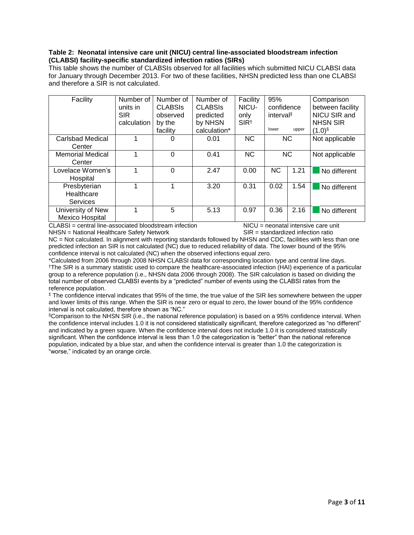#### **Table 2: Neonatal intensive care unit (NICU) central line-associated bloodstream infection (CLABSI) facility-specific standardized infection ratios (SIRs)**

This table shows the number of CLABSIs observed for all facilities which submitted NICU CLABSI data for January through December 2013. For two of these facilities, NHSN predicted less than one CLABSI and therefore a SIR is not calculated.

| Facility                                              | Number of<br>units in<br><b>SIR</b> | Number of<br><b>CLABSIS</b><br>observed | Number of<br><b>CLABSIS</b><br>predicted | Facility<br>NICU-<br>only | 95%<br>confidence<br>interval <sup>#</sup> |           | Comparison<br>between facility<br>NICU SIR and |
|-------------------------------------------------------|-------------------------------------|-----------------------------------------|------------------------------------------|---------------------------|--------------------------------------------|-----------|------------------------------------------------|
|                                                       | calculation                         | by the<br>facility                      | by NHSN<br>calculation*                  | SIR <sup>†</sup>          | lower                                      | upper     | <b>NHSN SIR</b><br>$(1.0)$ §                   |
| Carlsbad Medical<br>Center                            |                                     |                                         | 0.01                                     | <b>NC</b>                 |                                            | <b>NC</b> | Not applicable                                 |
| <b>Memorial Medical</b><br>Center                     |                                     | $\Omega$                                | 0.41                                     | <b>NC</b>                 | <b>NC</b>                                  |           | Not applicable                                 |
| Lovelace Women's<br>Hospital                          |                                     | $\Omega$                                | 2.47                                     | 0.00                      | <b>NC</b>                                  | 1.21      | No different                                   |
| Presbyterian<br>Healthcare<br><b>Services</b>         | 1                                   |                                         | 3.20                                     | 0.31                      | 0.02                                       | 1.54      | No different                                   |
| University of New<br>Mexico Hospital<br><b>ALABAL</b> | 4<br>.                              | 5<br>.<br>$\mathbf{r}$                  | 5.13                                     | 0.97<br>1  1  1  1        | 0.36                                       | 2.16      | No different                                   |

CLABSI = central line-associated bloodstream infection NICU = neonatal intensive care unit NHSN = National Healthcare Safety Network SIR = standardized infection ratio

NC = Not calculated. In alignment with reporting standards followed by NHSN and CDC, facilities with less than one predicted infection an SIR is not calculated (NC) due to reduced reliability of data. The lower bound of the 95% confidence interval is not calculated (NC) when the observed infections equal zero.

\*Calculated from 2006 through 2008 NHSN CLABSI data for corresponding location type and central line days. †The SIR is a summary statistic used to compare the healthcare-associated infection (HAI) experience of a particular group to a reference population (i.e., NHSN data 2006 through 2008). The SIR calculation is based on dividing the total number of observed CLABSI events by a "predicted" number of events using the CLABSI rates from the reference population.

‡ The confidence interval indicates that 95% of the time, the true value of the SIR lies somewhere between the upper and lower limits of this range. When the SIR is near zero or equal to zero, the lower bound of the 95% confidence interval is not calculated, therefore shown as "NC."

§Comparison to the NHSN SIR (i.e., the national reference population) is based on a 95% confidence interval. When the confidence interval includes 1.0 it is not considered statistically significant, therefore categorized as "no different" and indicated by a green square. When the confidence interval does not include 1.0 it is considered statistically significant. When the confidence interval is less than 1.0 the categorization is "better" than the national reference population, indicated by a blue star, and when the confidence interval is greater than 1.0 the categorization is "worse," indicated by an orange circle.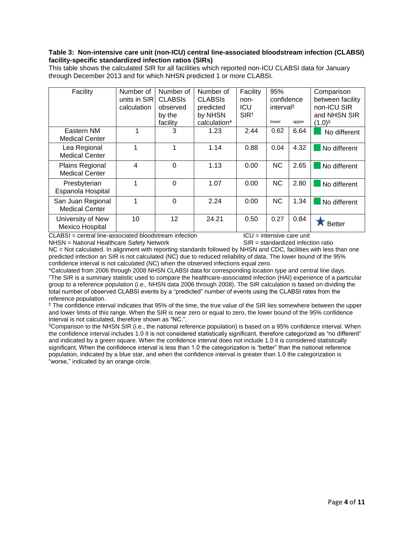#### **Table 3: Non-intensive care unit (non-ICU) central line-associated bloodstream infection (CLABSI) facility-specific standardized infection ratios (SIRs)**

| Facility              | Number of    | Number of      | Number of      | Facility         | 95%                   |       | Comparison           |
|-----------------------|--------------|----------------|----------------|------------------|-----------------------|-------|----------------------|
|                       | units in SIR | <b>CLABSIS</b> | <b>CLABSIS</b> | non-             | confidence            |       | between facility     |
|                       | calculation  | observed       | predicted      | ICU              | interval <sup>‡</sup> |       | non-ICU SIR          |
|                       |              | by the         | by NHSN        | SIR <sup>†</sup> |                       |       | and NHSN SIR         |
|                       |              | facility       | calculation*   |                  | lower                 | upper | $(1.0)$ <sup>§</sup> |
| Eastern NM            | 1            | 3              | 1.23           | 2.44             | 0.62                  | 6.64  | No different         |
| <b>Medical Center</b> |              |                |                |                  |                       |       |                      |
| Lea Regional          | 1            | 1              | 1.14           | 0.88             | 0.04                  | 4.32  | No different         |
| <b>Medical Center</b> |              |                |                |                  |                       |       |                      |
| Plains Regional       | 4            | $\Omega$       | 1.13           | 0.00             | <b>NC</b>             | 2.65  | No different         |
| <b>Medical Center</b> |              |                |                |                  |                       |       |                      |
| Presbyterian          | 1            | $\Omega$       | 1.07           | 0.00             | <b>NC</b>             | 2.80  | No different         |
| Espanola Hospital     |              |                |                |                  |                       |       |                      |
| San Juan Regional     | 1            | $\Omega$       | 2.24           | 0.00             | <b>NC</b>             | 1.34  | No different         |
| <b>Medical Center</b> |              |                |                |                  |                       |       |                      |
| University of New     | 10           | 12             | 24.21          | 0.50             | 0.27                  | 0.84  |                      |
| Mexico Hospital       |              |                |                |                  |                       |       | <b>Better</b>        |
|                       |              |                |                |                  |                       |       |                      |

This table shows the calculated SIR for all facilities which reported non-ICU CLABSI data for January through December 2013 and for which NHSN predicted 1 or more CLABSI.

 $CLABS = central line-associated bloodstream infection$  ICLABSI = central line-associated bloodstream infection ICU = intensive care unit

NHSN = National Healthcare Safety Network SIR = standardized infection ratio NC = Not calculated. In alignment with reporting standards followed by NHSN and CDC, facilities with less than one predicted infection an SIR is not calculated (NC) due to reduced reliability of data. The lower bound of the 95% confidence interval is not calculated (NC) when the observed infections equal zero.

\*Calculated from 2006 through 2008 NHSN CLABSI data for corresponding location type and central line days. †The SIR is a summary statistic used to compare the healthcare-associated infection (HAI) experience of a particular group to a reference population (i.e., NHSN data 2006 through 2008). The SIR calculation is based on dividing the total number of observed CLABSI events by a "predicted" number of events using the CLABSI rates from the reference population.

‡ The confidence interval indicates that 95% of the time, the true value of the SIR lies somewhere between the upper and lower limits of this range. When the SIR is near zero or equal to zero, the lower bound of the 95% confidence interval is not calculated, therefore shown as "NC.".

§Comparison to the NHSN SIR (i.e., the national reference population) is based on a 95% confidence interval. When the confidence interval includes 1.0 it is not considered statistically significant, therefore categorized as "no different" and indicated by a green square. When the confidence interval does not include 1.0 it is considered statistically significant. When the confidence interval is less than 1.0 the categorization is "better" than the national reference population, indicated by a blue star, and when the confidence interval is greater than 1.0 the categorization is "worse," indicated by an orange circle.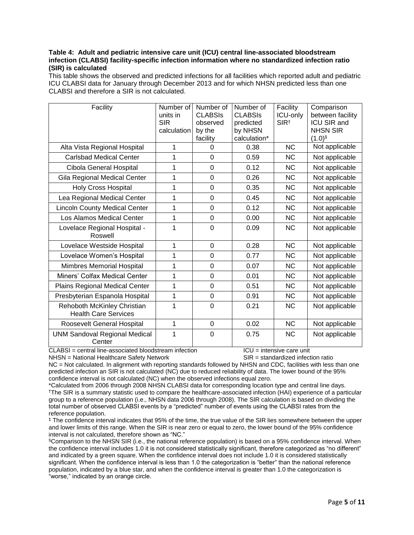### **Table 4: Adult and pediatric intensive care unit (ICU) central line-associated bloodstream infection (CLABSI) facility-specific infection information where no standardized infection ratio (SIR) is calculated**

This table shows the observed and predicted infections for all facilities which reported adult and pediatric ICU CLABSI data for January through December 2013 and for which NHSN predicted less than one CLABSI and therefore a SIR is not calculated.

| Facility                                                   | Number of<br>units in<br><b>SIR</b><br>calculation | Number of<br><b>CLABSIS</b><br>observed<br>by the<br>facility | Number of<br><b>CLABSIS</b><br>predicted<br>by NHSN<br>calculation* | Facility<br>ICU-only<br>SIR <sup>†</sup> | Comparison<br>between facility<br><b>ICU SIR and</b><br><b>NHSN SIR</b><br>$(1.0)$ <sup>§</sup> |
|------------------------------------------------------------|----------------------------------------------------|---------------------------------------------------------------|---------------------------------------------------------------------|------------------------------------------|-------------------------------------------------------------------------------------------------|
| Alta Vista Regional Hospital                               | 1                                                  | $\Omega$                                                      | 0.38                                                                | <b>NC</b>                                | Not applicable                                                                                  |
| <b>Carlsbad Medical Center</b>                             | 1                                                  | $\Omega$                                                      | 0.59                                                                | <b>NC</b>                                | Not applicable                                                                                  |
| Cibola General Hospital                                    | 1                                                  | $\Omega$                                                      | 0.12                                                                | <b>NC</b>                                | Not applicable                                                                                  |
| Gila Regional Medical Center                               | 1                                                  | $\Omega$                                                      | 0.26                                                                | <b>NC</b>                                | Not applicable                                                                                  |
| <b>Holy Cross Hospital</b>                                 | 1                                                  | $\overline{0}$                                                | 0.35                                                                | <b>NC</b>                                | Not applicable                                                                                  |
| Lea Regional Medical Center                                | 1                                                  | $\overline{0}$                                                | 0.45                                                                | <b>NC</b>                                | Not applicable                                                                                  |
| <b>Lincoln County Medical Center</b>                       | 1                                                  | $\Omega$                                                      | 0.12                                                                | <b>NC</b>                                | Not applicable                                                                                  |
| Los Alamos Medical Center                                  | 1                                                  | $\overline{0}$                                                | 0.00                                                                | <b>NC</b>                                | Not applicable                                                                                  |
| Lovelace Regional Hospital -<br>Roswell                    | 1                                                  | $\mathbf 0$                                                   | 0.09                                                                | <b>NC</b>                                | Not applicable                                                                                  |
| Lovelace Westside Hospital                                 | 1                                                  | $\overline{0}$                                                | 0.28                                                                | <b>NC</b>                                | Not applicable                                                                                  |
| Lovelace Women's Hospital                                  | 1                                                  | $\mathbf 0$                                                   | 0.77                                                                | <b>NC</b>                                | Not applicable                                                                                  |
| Mimbres Memorial Hospital                                  | 1                                                  | $\overline{0}$                                                | 0.07                                                                | <b>NC</b>                                | Not applicable                                                                                  |
| Miners' Colfax Medical Center                              | 1                                                  | $\Omega$                                                      | 0.01                                                                | <b>NC</b>                                | Not applicable                                                                                  |
| Plains Regional Medical Center                             | 1                                                  | $\Omega$                                                      | 0.51                                                                | <b>NC</b>                                | Not applicable                                                                                  |
| Presbyterian Espanola Hospital                             | 1                                                  | $\overline{0}$                                                | 0.91                                                                | <b>NC</b>                                | Not applicable                                                                                  |
| Rehoboth McKinley Christian<br><b>Health Care Services</b> | 1                                                  | $\Omega$                                                      | 0.21                                                                | <b>NC</b>                                | Not applicable                                                                                  |
| Roosevelt General Hospital                                 | 1                                                  | $\mathbf 0$                                                   | 0.02                                                                | <b>NC</b>                                | Not applicable                                                                                  |
| <b>UNM Sandoval Regional Medical</b><br>Center             | 1                                                  | 0                                                             | 0.75                                                                | <b>NC</b>                                | Not applicable                                                                                  |

CLABSI = central line-associated bloodstream infection <br>
NHSN = National Healthcare Safety Network SIR = standardized infection ratio NHSN = National Healthcare Safety Network

NC = Not calculated. In alignment with reporting standards followed by NHSN and CDC, facilities with less than one predicted infection an SIR is not calculated (NC) due to reduced reliability of data. The lower bound of the 95% confidence interval is not calculated (NC) when the observed infections equal zero.

\*Calculated from 2006 through 2008 NHSN CLABSI data for corresponding location type and central line days. †The SIR is a summary statistic used to compare the healthcare-associated infection (HAI) experience of a particular group to a reference population (i.e., NHSN data 2006 through 2008). The SIR calculation is based on dividing the total number of observed CLABSI events by a "predicted" number of events using the CLABSI rates from the reference population.

‡ The confidence interval indicates that 95% of the time, the true value of the SIR lies somewhere between the upper and lower limits of this range. When the SIR is near zero or equal to zero, the lower bound of the 95% confidence interval is not calculated, therefore shown as "NC."

§Comparison to the NHSN SIR (i.e., the national reference population) is based on a 95% confidence interval. When the confidence interval includes 1.0 it is not considered statistically significant, therefore categorized as "no different" and indicated by a green square. When the confidence interval does not include 1.0 it is considered statistically significant. When the confidence interval is less than 1.0 the categorization is "better" than the national reference population, indicated by a blue star, and when the confidence interval is greater than 1.0 the categorization is "worse," indicated by an orange circle.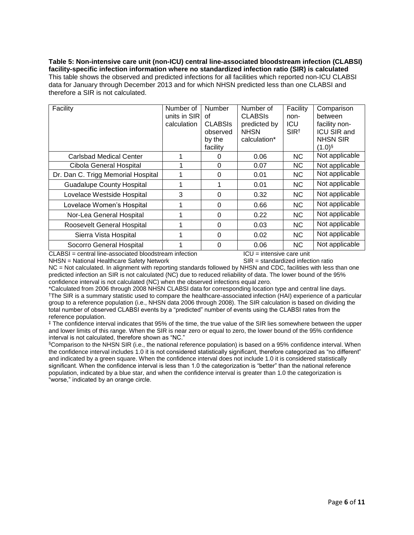**Table 5: Non-intensive care unit (non-ICU) central line-associated bloodstream infection (CLABSI) facility-specific infection information where no standardized infection ratio (SIR) is calculated** This table shows the observed and predicted infections for all facilities which reported non-ICU CLABSI data for January through December 2013 and for which NHSN predicted less than one CLABSI and therefore a SIR is not calculated.

| Facility                           | Number of<br>units in SIR<br>calculation | <b>Number</b><br>0f<br><b>CLABSIS</b><br>observed<br>by the<br>facility | Number of<br><b>CLABSIS</b><br>predicted by<br><b>NHSN</b><br>calculation* | Facility<br>non-<br><b>ICU</b><br>SIR <sup>†</sup> | Comparison<br>between<br>facility non-<br><b>ICU SIR and</b><br><b>NHSN SIR</b><br>$(1.0)$ <sup>§</sup> |
|------------------------------------|------------------------------------------|-------------------------------------------------------------------------|----------------------------------------------------------------------------|----------------------------------------------------|---------------------------------------------------------------------------------------------------------|
| Carlsbad Medical Center            |                                          | $\Omega$                                                                | 0.06                                                                       | <b>NC</b>                                          | Not applicable                                                                                          |
| Cibola General Hospital            |                                          | 0                                                                       | 0.07                                                                       | NC.                                                | Not applicable                                                                                          |
| Dr. Dan C. Trigg Memorial Hospital |                                          | $\Omega$                                                                | 0.01                                                                       | NC.                                                | Not applicable                                                                                          |
| <b>Guadalupe County Hospital</b>   |                                          | 1                                                                       | 0.01                                                                       | NC.                                                | Not applicable                                                                                          |
| Lovelace Westside Hospital         | 3                                        | $\Omega$                                                                | 0.32                                                                       | NC.                                                | Not applicable                                                                                          |
| Lovelace Women's Hospital          |                                          | $\Omega$                                                                | 0.66                                                                       | NC.                                                | Not applicable                                                                                          |
| Nor-Lea General Hospital           |                                          | $\Omega$                                                                | 0.22                                                                       | NC.                                                | Not applicable                                                                                          |
| Roosevelt General Hospital         |                                          | 0                                                                       | 0.03                                                                       | NC.                                                | Not applicable                                                                                          |
| Sierra Vista Hospital              |                                          | $\Omega$                                                                | 0.02                                                                       | NC.                                                | Not applicable                                                                                          |
| Socorro General Hospital           |                                          | $\Omega$                                                                | 0.06                                                                       | NC.                                                | Not applicable                                                                                          |

CLABSI = central line-associated bloodstream infection <br>
NHSN = National Healthcare Safety Network SIR = standardized infection ratio NHSN = National Healthcare Safety Network

NC = Not calculated. In alignment with reporting standards followed by NHSN and CDC, facilities with less than one predicted infection an SIR is not calculated (NC) due to reduced reliability of data. The lower bound of the 95% confidence interval is not calculated (NC) when the observed infections equal zero.

\*Calculated from 2006 through 2008 NHSN CLABSI data for corresponding location type and central line days. †The SIR is a summary statistic used to compare the healthcare-associated infection (HAI) experience of a particular group to a reference population (i.e., NHSN data 2006 through 2008). The SIR calculation is based on dividing the total number of observed CLABSI events by a "predicted" number of events using the CLABSI rates from the reference population.

‡ The confidence interval indicates that 95% of the time, the true value of the SIR lies somewhere between the upper and lower limits of this range. When the SIR is near zero or equal to zero, the lower bound of the 95% confidence interval is not calculated, therefore shown as "NC."

§Comparison to the NHSN SIR (i.e., the national reference population) is based on a 95% confidence interval. When the confidence interval includes 1.0 it is not considered statistically significant, therefore categorized as "no different" and indicated by a green square. When the confidence interval does not include 1.0 it is considered statistically significant. When the confidence interval is less than 1.0 the categorization is "better" than the national reference population, indicated by a blue star, and when the confidence interval is greater than 1.0 the categorization is "worse," indicated by an orange circle.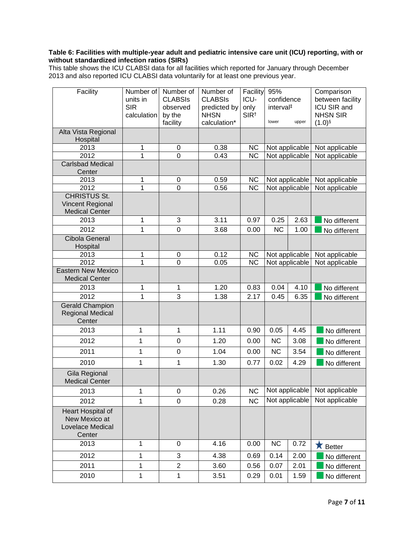### **Table 6: Facilities with multiple-year adult and pediatric intensive care unit (ICU) reporting, with or without standardized infection ratios (SIRs)**

This table shows the ICU CLABSI data for all facilities which reported for January through December 2013 and also reported ICU CLABSI data voluntarily for at least one previous year.

| Facility                                                         | Number of<br>units in<br><b>SIR</b><br>calculation | Number of<br><b>CLABSIS</b><br>observed<br>by the<br>facility | Number of<br><b>CLABSIS</b><br>predicted by<br><b>NHSN</b><br>calculation* | Facility<br>ICU-<br>only<br>SIR <sup>†</sup> | 95%<br>confidence<br>interval <sup>#</sup><br>lower | upper          | Comparison<br>between facility<br>ICU SIR and<br><b>NHSN SIR</b><br>$(1.0)$ <sup>§</sup> |
|------------------------------------------------------------------|----------------------------------------------------|---------------------------------------------------------------|----------------------------------------------------------------------------|----------------------------------------------|-----------------------------------------------------|----------------|------------------------------------------------------------------------------------------|
| Alta Vista Regional<br>Hospital                                  |                                                    |                                                               |                                                                            |                                              |                                                     |                |                                                                                          |
| 2013                                                             | 1                                                  | 0                                                             | 0.38                                                                       | <b>NC</b>                                    |                                                     | Not applicable | Not applicable                                                                           |
| 2012                                                             | 1                                                  | 0                                                             | 0.43                                                                       | $\overline{\text{NC}}$                       |                                                     | Not applicable | Not applicable                                                                           |
| <b>Carlsbad Medical</b><br>Center                                |                                                    |                                                               |                                                                            |                                              |                                                     |                |                                                                                          |
| 2013                                                             | 1                                                  | 0                                                             | 0.59                                                                       | <b>NC</b>                                    |                                                     | Not applicable | Not applicable                                                                           |
| 2012                                                             | 1                                                  | $\overline{0}$                                                | 0.56                                                                       | $\overline{\text{NC}}$                       |                                                     | Not applicable | Not applicable                                                                           |
| <b>CHRISTUS St.</b><br>Vincent Regional<br><b>Medical Center</b> |                                                    |                                                               |                                                                            |                                              |                                                     |                |                                                                                          |
| 2013                                                             | 1                                                  | 3                                                             | 3.11                                                                       | 0.97                                         | 0.25                                                | 2.63           | No different                                                                             |
| 2012                                                             | 1                                                  | 0                                                             | 3.68                                                                       | 0.00                                         | <b>NC</b>                                           | 1.00           | No different                                                                             |
| <b>Cibola General</b><br>Hospital                                |                                                    |                                                               |                                                                            |                                              |                                                     |                |                                                                                          |
| 2013                                                             | 1                                                  | 0                                                             | 0.12                                                                       | <b>NC</b>                                    |                                                     | Not applicable | Not applicable                                                                           |
| 2012                                                             | 1                                                  | 0                                                             | 0.05                                                                       | $\overline{\text{NC}}$                       |                                                     | Not applicable | Not applicable                                                                           |
| <b>Eastern New Mexico</b><br><b>Medical Center</b>               |                                                    |                                                               |                                                                            |                                              |                                                     |                |                                                                                          |
| 2013                                                             | 1                                                  | 1                                                             | 1.20                                                                       | 0.83                                         | 0.04                                                | 4.10           | No different                                                                             |
| 2012                                                             | $\mathbf{1}$                                       | $\overline{3}$                                                | 1.38                                                                       | 2.17                                         | 0.45                                                | 6.35           | No different                                                                             |
| <b>Gerald Champion</b><br><b>Regional Medical</b><br>Center      |                                                    |                                                               |                                                                            |                                              |                                                     |                |                                                                                          |
| 2013                                                             | 1                                                  | 1                                                             | 1.11                                                                       | 0.90                                         | 0.05                                                | 4.45           | No different                                                                             |
| 2012                                                             | 1                                                  | 0                                                             | 1.20                                                                       | 0.00                                         | <b>NC</b>                                           | 3.08           | No different                                                                             |
| 2011                                                             | 1                                                  | $\pmb{0}$                                                     | 1.04                                                                       | 0.00                                         | <b>NC</b>                                           | 3.54           | No different                                                                             |
| 2010                                                             | 1                                                  | 1                                                             | 1.30                                                                       | 0.77                                         | 0.02                                                | 4.29           | No different                                                                             |
| Gila Regional<br><b>Medical Center</b>                           |                                                    |                                                               |                                                                            |                                              |                                                     |                |                                                                                          |
| 2013                                                             | 1                                                  | 0                                                             | 0.26                                                                       | NС                                           |                                                     |                | Not applicable Not applicable                                                            |
| 2012                                                             | $\mathbf{1}$                                       | $\overline{0}$                                                | 0.28                                                                       | <b>NC</b>                                    |                                                     | Not applicable | Not applicable                                                                           |
| Heart Hospital of<br>New Mexico at<br>Lovelace Medical<br>Center |                                                    |                                                               |                                                                            |                                              |                                                     |                |                                                                                          |
| 2013                                                             | 1                                                  | 0                                                             | 4.16                                                                       | 0.00                                         | <b>NC</b>                                           | 0.72           | $\bigstar$ Better                                                                        |
| 2012                                                             | 1                                                  | 3                                                             | 4.38                                                                       | 0.69                                         | 0.14                                                | 2.00           | No different                                                                             |
| 2011                                                             | 1                                                  | $\overline{c}$                                                | 3.60                                                                       | 0.56                                         | 0.07                                                | 2.01           | No different                                                                             |
| 2010                                                             | $\mathbf 1$                                        | 1                                                             | 3.51                                                                       | 0.29                                         | 0.01                                                | 1.59           | No different                                                                             |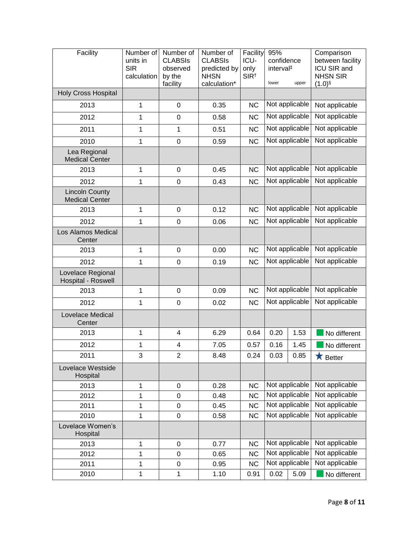| Facility                                       | Number of<br>units in<br><b>SIR</b><br>calculation | Number of<br><b>CLABSIS</b><br>observed<br>by the<br>facility | Number of<br><b>CLABSIS</b><br>predicted by<br><b>NHSN</b><br>calculation* | Facility<br>ICU-<br>only<br>SIR <sup>t</sup> | 95%<br>confidence<br>interval <sup>#</sup><br>lower<br>upper |      | Comparison<br>between facility<br><b>ICU SIR and</b><br><b>NHSN SIR</b><br>$(1.0)$ § |
|------------------------------------------------|----------------------------------------------------|---------------------------------------------------------------|----------------------------------------------------------------------------|----------------------------------------------|--------------------------------------------------------------|------|--------------------------------------------------------------------------------------|
| <b>Holy Cross Hospital</b>                     |                                                    |                                                               |                                                                            |                                              |                                                              |      |                                                                                      |
| 2013                                           | 1                                                  | $\mathbf 0$                                                   | 0.35                                                                       | <b>NC</b>                                    | Not applicable                                               |      | Not applicable                                                                       |
| 2012                                           | 1                                                  | $\pmb{0}$                                                     | 0.58                                                                       | <b>NC</b>                                    | Not applicable                                               |      | Not applicable                                                                       |
| 2011                                           | 1                                                  | 1                                                             | 0.51                                                                       | <b>NC</b>                                    | Not applicable                                               |      | Not applicable                                                                       |
| 2010                                           | 1                                                  | $\mathbf 0$                                                   | 0.59                                                                       | <b>NC</b>                                    | Not applicable                                               |      | Not applicable                                                                       |
| Lea Regional<br><b>Medical Center</b>          |                                                    |                                                               |                                                                            |                                              |                                                              |      |                                                                                      |
| 2013                                           | 1                                                  | $\pmb{0}$                                                     | 0.45                                                                       | <b>NC</b>                                    | Not applicable                                               |      | Not applicable                                                                       |
| 2012                                           | 1                                                  | $\mathbf 0$                                                   | 0.43                                                                       | <b>NC</b>                                    | Not applicable                                               |      | Not applicable                                                                       |
| <b>Lincoln County</b><br><b>Medical Center</b> |                                                    |                                                               |                                                                            |                                              |                                                              |      |                                                                                      |
| 2013                                           | 1                                                  | $\mathbf 0$                                                   | 0.12                                                                       | <b>NC</b>                                    | Not applicable                                               |      | Not applicable                                                                       |
| 2012                                           | 1                                                  | $\mathbf 0$                                                   | 0.06                                                                       | <b>NC</b>                                    | Not applicable                                               |      | Not applicable                                                                       |
| Los Alamos Medical<br>Center                   |                                                    |                                                               |                                                                            |                                              |                                                              |      |                                                                                      |
| 2013                                           | 1                                                  | $\mathbf 0$                                                   | 0.00                                                                       | <b>NC</b>                                    | Not applicable                                               |      | Not applicable                                                                       |
| 2012                                           | 1                                                  | 0                                                             | 0.19                                                                       | <b>NC</b>                                    | Not applicable                                               |      | Not applicable                                                                       |
| Lovelace Regional<br>Hospital - Roswell        |                                                    |                                                               |                                                                            |                                              |                                                              |      |                                                                                      |
| 2013                                           | 1                                                  | $\pmb{0}$                                                     | 0.09                                                                       | <b>NC</b>                                    | Not applicable                                               |      | Not applicable                                                                       |
| 2012                                           | 1                                                  | 0                                                             | 0.02                                                                       | <b>NC</b>                                    | Not applicable                                               |      | Not applicable                                                                       |
| Lovelace Medical<br>Center                     |                                                    |                                                               |                                                                            |                                              |                                                              |      |                                                                                      |
| 2013                                           | 1                                                  | 4                                                             | 6.29                                                                       | 0.64                                         | 0.20                                                         | 1.53 | No different                                                                         |
| 2012                                           | 1                                                  | 4                                                             | 7.05                                                                       | 0.57                                         | 0.16                                                         | 1.45 | No different                                                                         |
| 2011                                           | 3                                                  | $\overline{2}$                                                | 8.48                                                                       | 0.24                                         | 0.03                                                         | 0.85 | $\bigstar$ Better                                                                    |
| Lovelace Westside<br>Hospital                  |                                                    |                                                               |                                                                            |                                              |                                                              |      |                                                                                      |
| 2013                                           | 1                                                  | $\pmb{0}$                                                     | 0.28                                                                       | <b>NC</b>                                    | Not applicable                                               |      | Not applicable                                                                       |
| 2012                                           | 1                                                  | $\pmb{0}$                                                     | 0.48                                                                       | <b>NC</b>                                    | Not applicable                                               |      | Not applicable                                                                       |
| 2011                                           | 1                                                  | 0                                                             | 0.45                                                                       | <b>NC</b>                                    | Not applicable                                               |      | Not applicable                                                                       |
| 2010                                           | 1                                                  | $\pmb{0}$                                                     | 0.58                                                                       | <b>NC</b>                                    | Not applicable                                               |      | Not applicable                                                                       |
| Lovelace Women's<br>Hospital                   |                                                    |                                                               |                                                                            |                                              |                                                              |      |                                                                                      |
| 2013                                           | 1                                                  | $\pmb{0}$                                                     | 0.77                                                                       | <b>NC</b>                                    | Not applicable                                               |      | Not applicable                                                                       |
| 2012                                           | 1                                                  | $\mathbf 0$                                                   | 0.65                                                                       | <b>NC</b>                                    | Not applicable                                               |      | Not applicable                                                                       |
| 2011                                           | 1                                                  | $\pmb{0}$                                                     | 0.95                                                                       | <b>NC</b>                                    | Not applicable                                               |      | Not applicable                                                                       |
| 2010                                           | 1                                                  | 1                                                             | 1.10                                                                       | 0.91                                         | 0.02                                                         | 5.09 | No different                                                                         |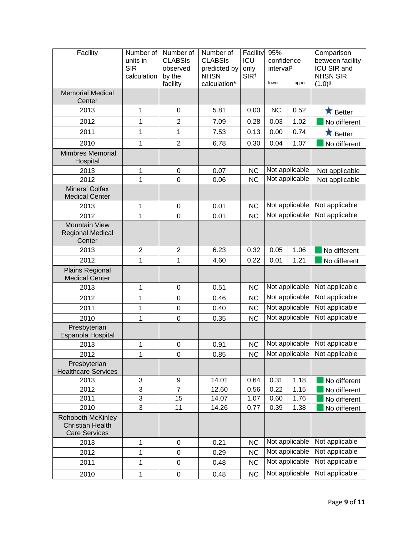| Facility                                                                    | Number of<br>units in<br><b>SIR</b><br>calculation | Number of<br><b>CLABSIS</b><br>observed<br>by the<br>facility | Number of<br><b>CLABSIS</b><br>predicted by<br><b>NHSN</b><br>calculation* | Facility<br>ICU-<br>only<br>SIR <sup>t</sup> | 95%<br>confidence<br>interval <sup>#</sup><br>upper<br>lower |                | Comparison<br>between facility<br>ICU SIR and<br><b>NHSN SIR</b><br>$(1.0)$ § |
|-----------------------------------------------------------------------------|----------------------------------------------------|---------------------------------------------------------------|----------------------------------------------------------------------------|----------------------------------------------|--------------------------------------------------------------|----------------|-------------------------------------------------------------------------------|
| <b>Memorial Medical</b><br>Center                                           |                                                    |                                                               |                                                                            |                                              |                                                              |                |                                                                               |
| 2013                                                                        | 1                                                  | 0                                                             | 5.81                                                                       | 0.00                                         | <b>NC</b>                                                    | 0.52           | $\bigstar$ Better                                                             |
| 2012                                                                        | 1                                                  | $\overline{2}$                                                | 7.09                                                                       | 0.28                                         | 0.03                                                         | 1.02           | No different                                                                  |
| 2011                                                                        | 1                                                  | 1                                                             | 7.53                                                                       | 0.13                                         | 0.00                                                         | 0.74           | $\bigstar$ Better                                                             |
| 2010                                                                        | $\mathbf{1}$                                       | $\overline{2}$                                                | 6.78                                                                       | 0.30                                         | 0.04                                                         | 1.07           | No different                                                                  |
| <b>Mimbres Memorial</b><br>Hospital                                         |                                                    |                                                               |                                                                            |                                              |                                                              |                |                                                                               |
| 2013                                                                        | 1                                                  | $\pmb{0}$                                                     | 0.07                                                                       | <b>NC</b>                                    | Not applicable                                               |                | Not applicable                                                                |
| 2012                                                                        | $\overline{1}$                                     | $\mathbf 0$                                                   | 0.06                                                                       | <b>NC</b>                                    | Not applicable                                               |                | Not applicable                                                                |
| Miners' Colfax<br><b>Medical Center</b>                                     |                                                    |                                                               |                                                                            |                                              |                                                              |                |                                                                               |
| 2013                                                                        | 1                                                  | $\pmb{0}$                                                     | 0.01                                                                       | <b>NC</b>                                    |                                                              | Not applicable | Not applicable                                                                |
| 2012                                                                        | 1                                                  | $\pmb{0}$                                                     | 0.01                                                                       | <b>NC</b>                                    | Not applicable                                               |                | Not applicable                                                                |
| <b>Mountain View</b><br><b>Regional Medical</b><br>Center                   |                                                    |                                                               |                                                                            |                                              |                                                              |                |                                                                               |
| 2013                                                                        | $\overline{2}$                                     | $\overline{2}$                                                | 6.23                                                                       | 0.32                                         | 0.05                                                         | 1.06           | No different                                                                  |
| 2012                                                                        | 1                                                  | 1                                                             | 4.60                                                                       | 0.22                                         | 0.01                                                         | 1.21           | No different                                                                  |
| <b>Plains Regional</b><br><b>Medical Center</b>                             |                                                    |                                                               |                                                                            |                                              |                                                              |                |                                                                               |
| 2013                                                                        | 1                                                  | 0                                                             | 0.51                                                                       | <b>NC</b>                                    |                                                              | Not applicable | Not applicable                                                                |
| 2012                                                                        | 1                                                  | $\mathbf 0$                                                   | 0.46                                                                       | <b>NC</b>                                    |                                                              | Not applicable | Not applicable                                                                |
| 2011                                                                        | 1                                                  | $\boldsymbol{0}$                                              | 0.40                                                                       | <b>NC</b>                                    | Not applicable                                               |                | Not applicable                                                                |
| 2010                                                                        | 1                                                  | $\mathbf 0$                                                   | 0.35                                                                       | <b>NC</b>                                    | Not applicable                                               |                | Not applicable                                                                |
| Presbyterian<br>Espanola Hospital                                           |                                                    |                                                               |                                                                            |                                              |                                                              |                |                                                                               |
| 2013                                                                        | 1                                                  | $\pmb{0}$                                                     | 0.91                                                                       | <b>NC</b>                                    |                                                              | Not applicable | Not applicable                                                                |
| 2012                                                                        | 1                                                  | 0                                                             | 0.85                                                                       | NC                                           |                                                              | Not applicable | Not applicable                                                                |
| Presbyterian<br><b>Healthcare Services</b>                                  |                                                    |                                                               |                                                                            |                                              |                                                              |                |                                                                               |
| 2013                                                                        | 3                                                  | 9                                                             | 14.01                                                                      | 0.64                                         | 0.31                                                         | 1.18           | No different                                                                  |
| 2012                                                                        | $\overline{3}$                                     | $\overline{7}$                                                | 12.60                                                                      | 0.56                                         | 0.22                                                         | 1.15           | No different                                                                  |
| 2011                                                                        | 3                                                  | 15                                                            | 14.07                                                                      | 1.07                                         | 0.60                                                         | 1.76           | No different                                                                  |
| 2010                                                                        | $\overline{3}$                                     | 11                                                            | 14.26                                                                      | 0.77                                         | 0.39                                                         | 1.38           | No different                                                                  |
| <b>Rehoboth McKinley</b><br><b>Christian Health</b><br><b>Care Services</b> |                                                    |                                                               |                                                                            |                                              |                                                              |                |                                                                               |
| 2013                                                                        | 1                                                  | 0                                                             | 0.21                                                                       | <b>NC</b>                                    | Not applicable                                               |                | Not applicable                                                                |
| 2012                                                                        | 1                                                  | $\pmb{0}$                                                     | 0.29                                                                       | <b>NC</b>                                    | Not applicable                                               |                | Not applicable                                                                |
| 2011                                                                        | 1                                                  | 0                                                             | 0.48                                                                       | <b>NC</b>                                    | Not applicable                                               |                | Not applicable                                                                |
| 2010                                                                        | 1                                                  | $\pmb{0}$                                                     | 0.48                                                                       | <b>NC</b>                                    | Not applicable                                               |                | Not applicable                                                                |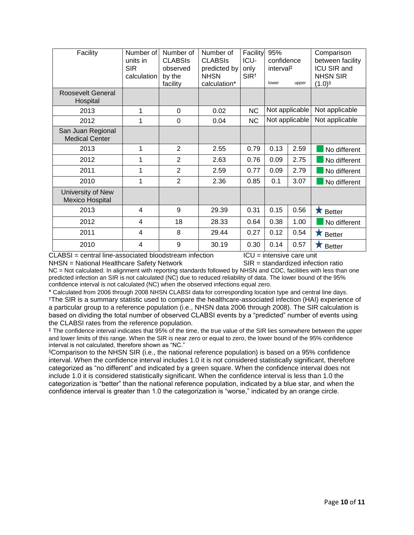| Facility                                   | Number of<br>units in<br><b>SIR</b><br>calculation | Number of<br><b>CLABSIS</b><br>observed<br>by the<br>facility | Number of<br><b>CLABSIS</b><br>predicted by<br><b>NHSN</b><br>calculation* | Facility<br>ICU-<br>only<br>SIR <sup>t</sup> | 95%<br>confidence<br>interval <sup>#</sup><br>lower<br>upper |      | Comparison<br>between facility<br>ICU SIR and<br><b>NHSN SIR</b><br>$(1.0)$ <sup>§</sup> |
|--------------------------------------------|----------------------------------------------------|---------------------------------------------------------------|----------------------------------------------------------------------------|----------------------------------------------|--------------------------------------------------------------|------|------------------------------------------------------------------------------------------|
| Roosevelt General<br>Hospital              |                                                    |                                                               |                                                                            |                                              |                                                              |      |                                                                                          |
| 2013                                       | 1                                                  | 0                                                             | 0.02                                                                       | <b>NC</b>                                    | Not applicable                                               |      | Not applicable                                                                           |
| 2012                                       | 1                                                  | 0                                                             | 0.04                                                                       | <b>NC</b>                                    | Not applicable                                               |      | Not applicable                                                                           |
| San Juan Regional<br><b>Medical Center</b> |                                                    |                                                               |                                                                            |                                              |                                                              |      |                                                                                          |
| 2013                                       | 1                                                  | $\overline{2}$                                                | 2.55                                                                       | 0.79                                         | 0.13                                                         | 2.59 | No different                                                                             |
| 2012                                       | 1                                                  | $\overline{2}$                                                | 2.63                                                                       | 0.76                                         | 0.09                                                         | 2.75 | No different                                                                             |
| 2011                                       | 1                                                  | $\overline{2}$                                                | 2.59                                                                       | 0.77                                         | 0.09                                                         | 2.79 | No different                                                                             |
| 2010                                       | 1                                                  | $\overline{2}$                                                | 2.36                                                                       | 0.85                                         | 0.1                                                          | 3.07 | No different                                                                             |
| University of New<br>Mexico Hospital       |                                                    |                                                               |                                                                            |                                              |                                                              |      |                                                                                          |
| 2013                                       | $\overline{4}$                                     | 9                                                             | 29.39                                                                      | 0.31                                         | 0.15                                                         | 0.56 | Ж<br><b>Better</b>                                                                       |
| 2012                                       | 4                                                  | 18                                                            | 28.33                                                                      | 0.64                                         | 0.38                                                         | 1.00 | No different                                                                             |
| 2011                                       | 4                                                  | 8                                                             | 29.44                                                                      | 0.27                                         | 0.12                                                         | 0.54 | <b>Better</b><br>Х                                                                       |
| 2010                                       | 4                                                  | 9                                                             | 30.19                                                                      | 0.30                                         | 0.14                                                         | 0.57 | Х<br><b>Better</b>                                                                       |

CLABSI = central line-associated bloodstream infection ICU = intensive care unit NHSN = National Healthcare Safety Network SIR = standardized infection ratio

NC = Not calculated. In alignment with reporting standards followed by NHSN and CDC, facilities with less than one predicted infection an SIR is not calculated (NC) due to reduced reliability of data. The lower bound of the 95% confidence interval is not calculated (NC) when the observed infections equal zero.

\* Calculated from 2006 through 2008 NHSN CLABSI data for corresponding location type and central line days. †The SIR is a summary statistic used to compare the healthcare-associated infection (HAI) experience of a particular group to a reference population (i.e., NHSN data 2006 through 2008). The SIR calculation is based on dividing the total number of observed CLABSI events by a "predicted" number of events using the CLABSI rates from the reference population.

‡ The confidence interval indicates that 95% of the time, the true value of the SIR lies somewhere between the upper and lower limits of this range. When the SIR is near zero or equal to zero, the lower bound of the 95% confidence interval is not calculated, therefore shown as "NC."

§Comparison to the NHSN SIR (i.e., the national reference population) is based on a 95% confidence interval. When the confidence interval includes 1.0 it is not considered statistically significant, therefore categorized as "no different" and indicated by a green square. When the confidence interval does not include 1.0 it is considered statistically significant. When the confidence interval is less than 1.0 the categorization is "better" than the national reference population, indicated by a blue star, and when the confidence interval is greater than 1.0 the categorization is "worse," indicated by an orange circle.